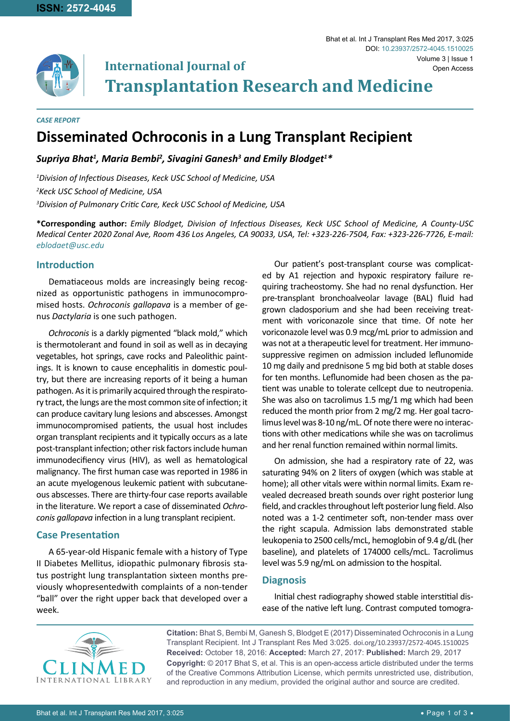

**International Journal of Transplantation Research and Medicine**

*CASE REPORT*

# **Disseminated Ochroconis in a Lung Transplant Recipient**

*Supriya Bhat1 , Maria Bembi2 , Sivagini Ganesh3 and Emily Blodget1 \**

*1 Division of Infectious Diseases, Keck USC School of Medicine, USA 2 Keck USC School of Medicine, USA 3 Division of Pulmonary Critic Care, Keck USC School of Medicine, USA*

**\*Corresponding author:** *Emily Blodget, Division of Infectious Diseases, Keck USC School of Medicine, A County-USC Medical Center 2020 Zonal Ave, Room 436 Los Angeles, CA 90033, USA, Tel: +323-226-7504, Fax: +323-226-7726, E-mail: eblodaet@usc.edu* 

# **Introduction**

Dematiaceous molds are increasingly being recognized as opportunistic pathogens in immunocompromised hosts. *Ochroconis gallopava* is a member of genus *Dactylaria* is one such pathogen.

*Ochroconis* is a darkly pigmented "black mold," which is thermotolerant and found in soil as well as in decaying vegetables, hot springs, cave rocks and Paleolithic paintings. It is known to cause encephalitis in domestic poultry, but there are increasing reports of it being a human pathogen. As it is primarily acquired through the respiratory tract, the lungs are the most common site of infection; it can produce cavitary lung lesions and abscesses. Amongst immunocompromised patients, the usual host includes organ transplant recipients and it typically occurs as a late post-transplant infection; other risk factors include human immunodecifiency virus (HIV), as well as hematological malignancy. The first human case was reported in 1986 in an acute myelogenous leukemic patient with subcutaneous abscesses. There are thirty-four case reports available in the literature. We report a case of disseminated *Ochroconis gallopava* infection in a lung transplant recipient.

## **Case Presentation**

A 65-year-old Hispanic female with a history of Type II Diabetes Mellitus, idiopathic pulmonary fibrosis status postright lung transplantation sixteen months previously whopresentedwith complaints of a non-tender "ball" over the right upper back that developed over a week.

Our patient's post-transplant course was complicated by A1 rejection and hypoxic respiratory failure requiring tracheostomy. She had no renal dysfunction. Her pre-transplant bronchoalveolar lavage (BAL) fluid had grown cladosporium and she had been receiving treatment with voriconazole since that time. Of note her voriconazole level was 0.9 mcg/mL prior to admission and was not at a therapeutic level for treatment. Her immunosuppressive regimen on admission included leflunomide 10 mg daily and prednisone 5 mg bid both at stable doses for ten months. Leflunomide had been chosen as the patient was unable to tolerate cellcept due to neutropenia. She was also on tacrolimus 1.5 mg/1 mg which had been reduced the month prior from 2 mg/2 mg. Her goal tacrolimus level was 8-10 ng/mL. Of note there were no interactions with other medications while she was on tacrolimus and her renal function remained within normal limits.

On admission, she had a respiratory rate of 22, was saturating 94% on 2 liters of oxygen (which was stable at home); all other vitals were within normal limits. Exam revealed decreased breath sounds over right posterior lung field, and crackles throughout left posterior lung field. Also noted was a 1-2 centimeter soft, non-tender mass over the right scapula. Admission labs demonstrated stable leukopenia to 2500 cells/mcL, hemoglobin of 9.4 g/dL (her baseline), and platelets of 174000 cells/mcL. Tacrolimus level was 5.9 ng/mL on admission to the hospital.

## **Diagnosis**

Initial chest radiography showed stable interstitial disease of the native left lung. Contrast computed tomogra-



**Citation:** Bhat S, Bembi M, Ganesh S, Blodget E (2017) Disseminated Ochroconis in a Lung Transplant Recipient. Int J Transplant Res Med 3:025. [doi.org/10.23937/2572-4045.1510025](https://doi.org/10.23937/2572-4045.1510025) **Received:** October 18, 2016: **Accepted:** March 27, 2017: **Published:** March 29, 2017 **Copyright:** © 2017 Bhat S, et al. This is an open-access article distributed under the terms of the Creative Commons Attribution License, which permits unrestricted use, distribution, and reproduction in any medium, provided the original author and source are credited.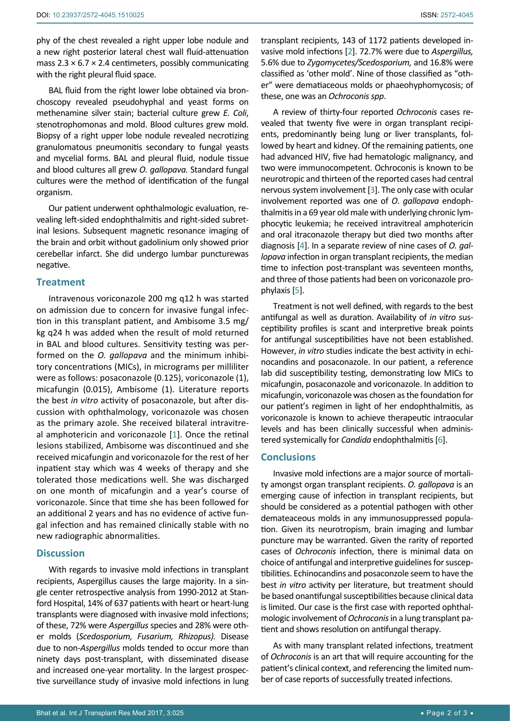phy of the chest revealed a right upper lobe nodule and a new right posterior lateral chest wall fluid-attenuation mass  $2.3 \times 6.7 \times 2.4$  centimeters, possibly communicating with the right pleural fluid space.

BAL fluid from the right lower lobe obtained via bronchoscopy revealed pseudohyphal and yeast forms on methenamine silver stain; bacterial culture grew *E. Coli*, stenotrophomonas and mold. Blood cultures grew mold. Biopsy of a right upper lobe nodule revealed necrotizing granulomatous pneumonitis secondary to fungal yeasts and mycelial forms. BAL and pleural fluid, nodule tissue and blood cultures all grew *O. gallopava.* Standard fungal cultures were the method of identification of the fungal organism.

Our patient underwent ophthalmologic evaluation, revealing left-sided endophthalmitis and right-sided subretinal lesions. Subsequent magnetic resonance imaging of the brain and orbit without gadolinium only showed prior cerebellar infarct. She did undergo lumbar puncturewas negative.

#### **Treatment**

Intravenous voriconazole 200 mg q12 h was started on admission due to concern for invasive fungal infection in this transplant patient, and Ambisome 3.5 mg/ kg q24 h was added when the result of mold returned in BAL and blood cultures. Sensitivity testing was performed on the *O. gallopava* and the minimum inhibitory concentrations (MICs), in micrograms per milliliter were as follows: posaconazole (0.125), voriconazole (1), micafungin (0.015), Ambisome (1). Literature reports the best *in vitro* activity of posaconazole, but after discussion with ophthalmology, voriconazole was chosen as the primary azole. She received bilateral intravitreal amphotericin and voriconazole [[1](#page-2-5)]. Once the retinal lesions stabilized, Ambisome was discontinued and she received micafungin and voriconazole for the rest of her inpatient stay which was 4 weeks of therapy and she tolerated those medications well. She was discharged on one month of micafungin and a year's course of voriconazole. Since that time she has been followed for an additional 2 years and has no evidence of active fungal infection and has remained clinically stable with no new radiographic abnormalities.

### **Discussion**

With regards to invasive mold infections in transplant recipients, Aspergillus causes the large majority. In a single center retrospective analysis from 1990-2012 at Stanford Hospital, 14% of 637 patients with heart or heart-lung transplants were diagnosed with invasive mold infections; of these, 72% were *Aspergillus* species and 28% were other molds (*Scedosporium, Fusarium, Rhizopus).* Disease due to non-*Aspergillus* molds tended to occur more than ninety days post-transplant, with disseminated disease and increased one-year mortality. In the largest prospective surveillance study of invasive mold infections in lung transplant recipients, 143 of 1172 patients developed invasive mold infections [[2](#page-2-0)]. 72.7% were due to *Aspergillus,* 5.6% due to *Zygomycetes/Scedosporium,* and 16.8% were classified as 'other mold'. Nine of those classified as "other" were dematiaceous molds or phaeohyphomycosis; of these, one was an *Ochroconis spp*.

A review of thirty-four reported *Ochroconis* cases revealed that twenty five were in organ transplant recipients, predominantly being lung or liver transplants, followed by heart and kidney. Of the remaining patients, one had advanced HIV, five had hematologic malignancy, and two were immunocompetent. Ochroconis is known to be neurotropic and thirteen of the reported cases had central nervous system involvement [[3](#page-2-1)]. The only case with ocular involvement reported was one of *O*. *gallopava* endophthalmitis in a 69 year old male with underlying chronic lymphocytic leukemia; he received intravitreal amphotericin and oral itraconazole therapy but died two months after diagnosis [[4](#page-2-2)]. In a separate review of nine cases of *O. gallopava* infection in organ transplant recipients, the median time to infection post-transplant was seventeen months, and three of those patients had been on voriconazole prophylaxis [[5\]](#page-2-3).

Treatment is not well defined, with regards to the best antifungal as well as duration. Availability of *in vitro* susceptibility profiles is scant and interpretive break points for antifungal susceptibilities have not been established. However, *in vitro* studies indicate the best activity in echinocandins and posaconazole. In our patient, a reference lab did susceptibility testing, demonstrating low MICs to micafungin, posaconazole and voriconazole. In addition to micafungin, voriconazole was chosen as the foundation for our patient's regimen in light of her endophthalmitis, as voriconazole is known to achieve therapeutic intraocular levels and has been clinically successful when administered systemically for *Candida* endophthalmitis [\[6](#page-2-4)].

#### **Conclusions**

Invasive mold infections are a major source of mortality amongst organ transplant recipients. *O. gallopava* is an emerging cause of infection in transplant recipients, but should be considered as a potential pathogen with other demateaceous molds in any immunosuppressed population. Given its neurotropism, brain imaging and lumbar puncture may be warranted. Given the rarity of reported cases of *Ochroconis* infection, there is minimal data on choice of antifungal and interpretive guidelines for susceptibilities. Echinocandins and posaconzole seem to have the best *in vitro* activity per literature, but treatment should be based onantifungal susceptibilities because clinical data is limited. Our case is the first case with reported ophthalmologic involvement of *Ochroconis* in a lung transplant patient and shows resolution on antifungal therapy.

As with many transplant related infections, treatment of *Ochroconis* is an art that will require accounting for the patient's clinical context, and referencing the limited number of case reports of successfully treated infections.